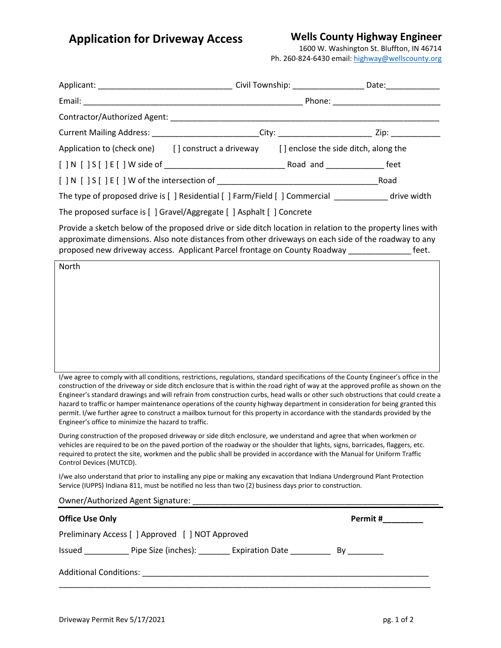**Application for Driveway Access**

## **Wells County Highway Engineer**

1600 W. Washington St. Bluffton, IN 46714 Ph. 260-824-6430 email[: highway@wellscounty.org](mailto:highway@wellscounty.org)

| Current Mailing Address: _________________________City: ________________________Zip: _______________                                                                                                                                                                                                                   |  |  |  |  |  |
|------------------------------------------------------------------------------------------------------------------------------------------------------------------------------------------------------------------------------------------------------------------------------------------------------------------------|--|--|--|--|--|
| Application to (check one) [] construct a driveway [] enclose the side ditch, along the                                                                                                                                                                                                                                |  |  |  |  |  |
|                                                                                                                                                                                                                                                                                                                        |  |  |  |  |  |
|                                                                                                                                                                                                                                                                                                                        |  |  |  |  |  |
| The type of proposed drive is [ ] Residential [ ] Farm/Field [ ] Commercial drive width                                                                                                                                                                                                                                |  |  |  |  |  |
| The proposed surface is [ ] Gravel/Aggregate [ ] Asphalt [ ] Concrete                                                                                                                                                                                                                                                  |  |  |  |  |  |
| Provide a sketch below of the proposed drive or side ditch location in relation to the property lines with<br>approximate dimensions. Also note distances from other driveways on each side of the roadway to any<br>proposed new driveway access. Applicant Parcel frontage on County Roadway __________________feet. |  |  |  |  |  |
| North                                                                                                                                                                                                                                                                                                                  |  |  |  |  |  |
|                                                                                                                                                                                                                                                                                                                        |  |  |  |  |  |
|                                                                                                                                                                                                                                                                                                                        |  |  |  |  |  |
|                                                                                                                                                                                                                                                                                                                        |  |  |  |  |  |

I/we agree to comply with all conditions, restrictions, regulations, standard specifications of the County Engineer's office in the construction of the driveway or side ditch enclosure that is within the road right of way at the approved profile as shown on the Engineer's standard drawings and will refrain from construction curbs, head walls or other such obstructions that could create a hazard to traffic or hamper maintenance operations of the county highway department in consideration for being granted this permit. I/we further agree to construct a mailbox turnout for this property in accordance with the standards provided by the Engineer's office to minimize the hazard to traffic.

During construction of the proposed driveway or side ditch enclosure, we understand and agree that when workmen or vehicles are required to be on the paved portion of the roadway or the shoulder that lights, signs, barricades, flaggers, etc. required to protect the site, workmen and the public shall be provided in accordance with the Manual for Uniform Traffic Control Devices (MUTCD).

I/we also understand that prior to installing any pipe or making any excavation that Indiana Underground Plant Protection Service (IUPPS) Indiana 811, must be notified no less than two (2) business days prior to construction.

| Owner/Authorized Agent Signature: |  |
|-----------------------------------|--|
|                                   |  |

| <b>Office Use Only</b>                           |                                                        |  | Permit # |  |  |
|--------------------------------------------------|--------------------------------------------------------|--|----------|--|--|
| Preliminary Access [ ] Approved [ ] NOT Approved |                                                        |  |          |  |  |
| Issued                                           | Pipe Size (inches): ________ Expiration Date _________ |  | Bv       |  |  |
| <b>Additional Conditions:</b>                    |                                                        |  |          |  |  |